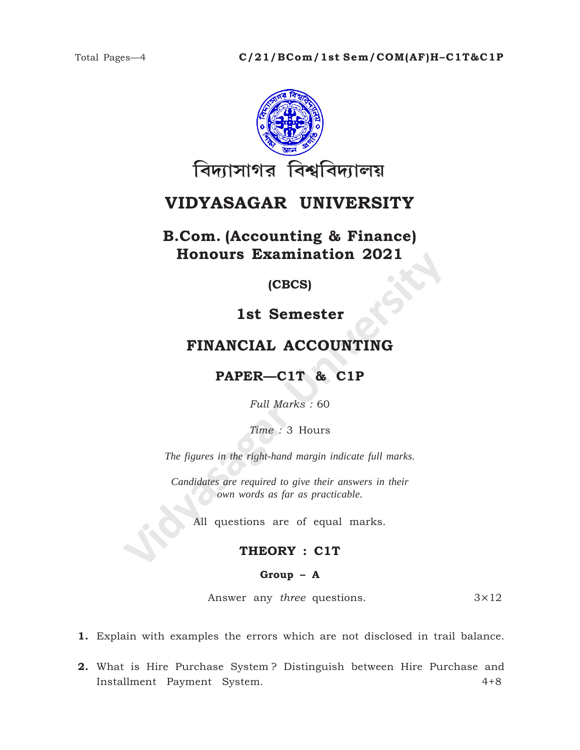

# VIDYASAGAR UNIVERSITY

**B.Com.** (Accounting & Finance) **Honours Examination 2021** 

(CBCS)

## 1st Semester

## FINANCIAL ACCOUNTING

## PAPER-C1T & C1P

Full Marks: 60

Time: 3 Hours

The figures in the right-hand margin indicate full marks.

Candidates are required to give their answers in their own words as far as practicable.

All questions are of equal marks.

### THEORY : C1T

### Group  $-$  A

Answer any three questions.  $3\times12$ 

1. Explain with examples the errors which are not disclosed in trail balance.

2. What is Hire Purchase System? Distinguish between Hire Purchase and Installment Payment System.  $4 + 8$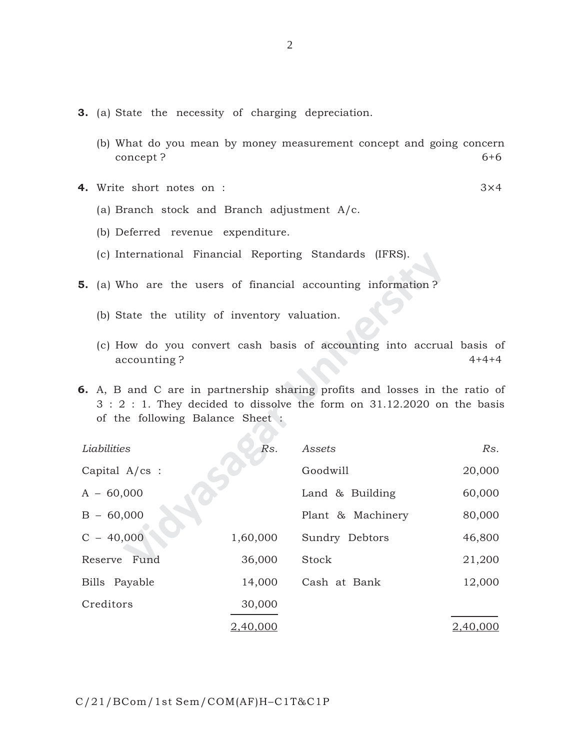- **3.** (a) State the necessity of charging depreciation.
	- (b) What do you mean by money measurement concept and going concern concept ? 6+6

**4.** Write short notes on : 3×4

- (a) Branch stock and Branch adjustment A/c.
- (b) Deferred revenue expenditure.
- (c) International Financial Reporting Standards (IFRS).
- **5.** (a) Who are the users of financial accounting information ?
	- (b) State the utility of inventory valuation.
	- (c) How do you convert cash basis of accounting into accrual basis of accounting ? 4+4+4

|                         | (c) International Financial Reporting Standards (IFRS). |                 |                                                                                                                                                        |             |
|-------------------------|---------------------------------------------------------|-----------------|--------------------------------------------------------------------------------------------------------------------------------------------------------|-------------|
|                         |                                                         |                 | <b>5.</b> (a) Who are the users of financial accounting information?                                                                                   |             |
|                         | (b) State the utility of inventory valuation.           |                 |                                                                                                                                                        |             |
|                         | accounting?                                             |                 | (c) How do you convert cash basis of accounting into accrual basis of                                                                                  | $4 + 4 + 4$ |
|                         | of the following Balance Sheet:                         |                 | 6. A, B and C are in partnership sharing profits and losses in the ratio of<br>3 : 2 : 1. They decided to dissolve the form on 31.12.2020 on the basis |             |
|                         | Liabilities                                             | Rs.             | Assets                                                                                                                                                 | Rs.         |
| Capital $A/\text{cs}$ : |                                                         |                 | Goodwill                                                                                                                                               | 20,000      |
|                         | $A - 60,000$                                            |                 | Land & Building                                                                                                                                        | 60,000      |
|                         | $B - 60,000$                                            |                 | Plant & Machinery                                                                                                                                      | 80,000      |
|                         | $C - 40,000$                                            | 1,60,000        | Sundry Debtors                                                                                                                                         | 46,800      |
|                         | Reserve Fund                                            | 36,000          | Stock                                                                                                                                                  | 21,200      |
|                         | Bills Payable                                           | 14,000          | Cash at Bank                                                                                                                                           | 12,000      |
|                         | Creditors                                               | 30,000          |                                                                                                                                                        |             |
|                         |                                                         | <u>2,40,000</u> |                                                                                                                                                        | 2,40,000    |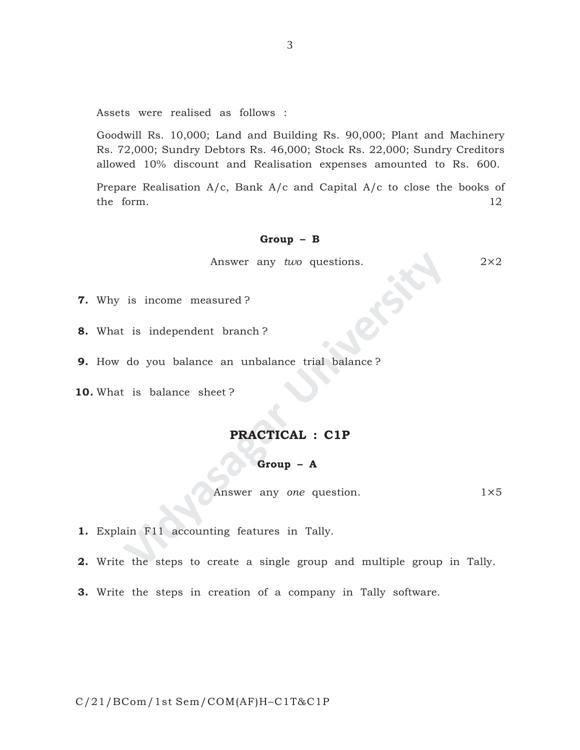Assets were realised as follows :

Goodwill Rs. 10,000; Land and Building Rs. 90,000; Plant and Machinery Rs. 72,000; Sundry Debtors Rs. 46,000; Stock Rs. 22,000; Sundry Creditors allowed 10% discount and Realisation expenses amounted to Rs. 600.

Prepare Realisation A/c, Bank A/c and Capital A/c to close the books of the form. 12

### **Group – B**

Answer any *two* questions. 2×2

- **7.** Why is income measured ?
- **8.** What is independent branch ?
- **9.** How do you balance an unbalance trial balance ?
- **10.** What is balance sheet ?

### **PRACTICAL : C1P**

#### **Group – A**

Answer any *one* question. 1×5

**1.** Explain F11 accounting features in Tally.

- Answer any *two* questions.<br>
is income measured?<br>
is independent branch?<br>
do you balance an unbalance trial balance?<br> **PRACTICAL : C1P<br>
Group A**<br>
Answer any *one* question.<br>
ain F11 accounting features in Tally.<br>
the ste **2.** Write the steps to create a single group and multiple group in Tally.
- **3.** Write the steps in creation of a company in Tally software.